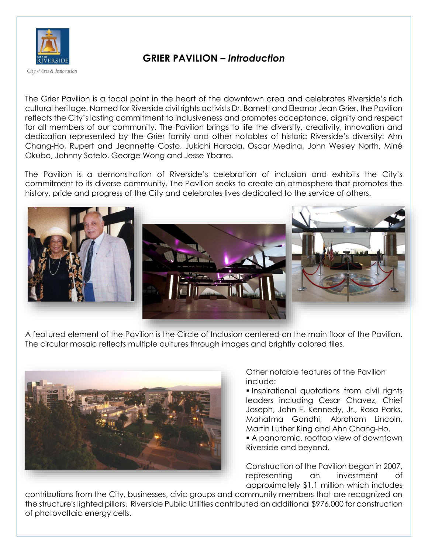

## **GRIER PAVILION –** *Introduction*

The Grier Pavilion is a focal point in the heart of the downtown area and celebrates Riverside's rich cultural heritage. Named for Riverside civil rights activists Dr. Barnett and Eleanor Jean Grier, the Pavilion reflects the City's lasting commitment to inclusiveness and promotes acceptance, dignity and respect for all members of our community. The Pavilion brings to life the diversity, creativity, innovation and dedication represented by the Grier family and other notables of historic Riverside's diversity: Ahn Chang-Ho, Rupert and Jeannette Costo, Jukichi Harada, Oscar Medina, John Wesley North, Miné Okubo, Johnny Sotelo, George Wong and Jesse Ybarra.

The Pavilion is a demonstration of Riverside's celebration of inclusion and exhibits the City's commitment to its diverse community. The Pavilion seeks to create an atmosphere that promotes the history, pride and progress of the City and celebrates lives dedicated to the service of others.



A featured element of the Pavilion is the Circle of Inclusion centered on the main floor of the Pavilion. The circular mosaic reflects multiple cultures through images and brightly colored tiles.



Other notable features of the Pavilion include:

**Inspirational quotations from civil rights** leaders including Cesar Chavez, Chief Joseph, John F. Kennedy, Jr., Rosa Parks, Mahatma Gandhi, Abraham Lincoln, Martin Luther King and Ahn Chang-Ho.

 A panoramic, rooftop view of downtown Riverside and beyond.

Construction of the Pavilion began in 2007, representing an investment of approximately \$1.1 million which includes

contributions from the City, businesses, civic groups and community members that are recognized on the structure's lighted pillars. Riverside Public Utilities contributed an additional \$976,000 for construction of photovoltaic energy cells.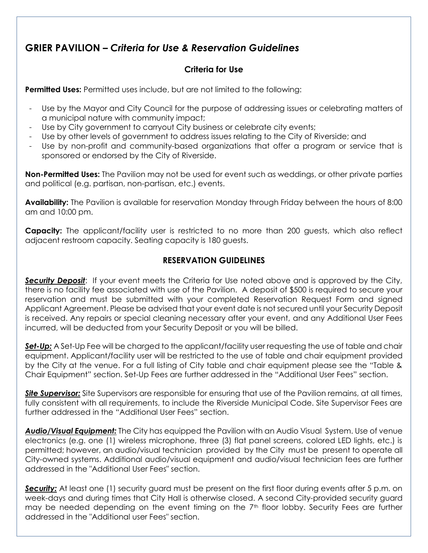## **GRIER PAVILION –** *Criteria for Use & Reservation Guidelines*

#### **Criteria for Use**

**Permitted Uses:** Permitted uses include, but are not limited to the following:

- Use by the Mayor and City Council for the purpose of addressing issues or celebrating matters of a municipal nature with community impact;
- Use by City government to carryout City business or celebrate city events;
- Use by other levels of government to address issues relating to the City of Riverside; and
- Use by non-profit and community-based organizations that offer a program or service that is sponsored or endorsed by the City of Riverside.

**Non-Permitted Uses:** The Pavilion may not be used for event such as weddings, or other private parties and political (e.g. partisan, non-partisan, etc.) events.

**Availability:** The Pavilion is available for reservation Monday through Friday between the hours of 8:00 am and 10:00 pm.

**Capacity:** The applicant/facility user is restricted to no more than 200 guests, which also reflect adjacent restroom capacity. Seating capacity is 180 guests.

#### **RESERVATION GUIDELINES**

**Security Deposit:** If your event meets the Criteria for Use noted above and is approved by the City, there is no facility fee associated with use of the Pavilion. A deposit of \$500 is required to secure your reservation and must be submitted with your completed Reservation Request Form and signed Applicant Agreement. Please be advised that your event date is not secured until your Security Deposit is received. Any repairs or special cleaning necessary after your event, and any Additional User Fees incurred, will be deducted from your Security Deposit or you will be billed.

**Set-Up:** A Set-Up Fee will be charged to the applicant/facility user requesting the use of table and chair equipment. Applicant/facility user will be restricted to the use of table and chair equipment provided by the City at the venue. For a full listing of City table and chair equipment please see the "Table & Chair Equipment" section. Set-Up Fees are further addressed in the "Additional User Fees" section.

*Site Supervisor:* Site Supervisors are responsible for ensuring that use of the Pavilion remains, at all times, fully consistent with all requirements, to include the Riverside Municipal Code. Site Supervisor Fees are further addressed in the "Additional User Fees" section.

*Audio/Visual Equipment:* The City has equipped the Pavilion with an Audio Visual System. Use of venue electronics (e.g. one (1) wireless microphone, three (3) flat panel screens, colored LED lights, etc.) is permitted; however, an audio/visual technician provided by the City must be present to operate all City-owned systems. Additional audio/visual equipment and audio/visual technician fees are further addressed in the "Additional User Fees" section.

**Security:** At least one (1) security guard must be present on the first floor during events after 5 p.m. on week-days and during times that City Hall is otherwise closed. A second City-provided security guard may be needed depending on the event timing on the 7<sup>th</sup> floor lobby. Security Fees are further addressed in the "Additional user Fees" section.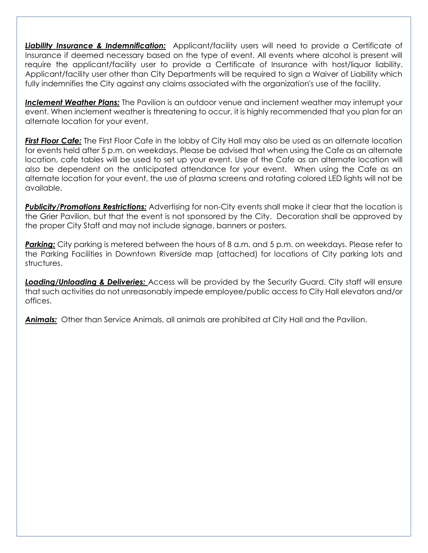**Liability Insurance & Indemnification:** Applicant/facility users will need to provide a Certificate of Insurance if deemed necessary based on the type of event. All events where alcohol is present will require the applicant/facility user to provide a Certificate of Insurance with host/liquor liability. Applicant/facility user other than City Departments will be required to sign a Waiver of Liability which fully indemnifies the City against any claims associated with the organization's use of the facility.

*Inclement Weather Plans:* The Pavilion is an outdoor venue and inclement weather may interrupt your event. When inclement weather is threatening to occur, it is highly recommended that you plan for an alternate location for your event.

*First Floor Cafe:* The First Floor Cafe in the lobby of City Hall may also be used as an alternate location for events held after 5 p.m. on weekdays. Please be advised that when using the Cafe as an alternate location, cafe tables will be used to set up your event. Use of the Cafe as an alternate location will also be dependent on the anticipated attendance for your event. When using the Cafe as an alternate location for your event, the use of plasma screens and rotating colored LED lights will not be available.

*Publicity/Promotions Restrictions:* Advertising for non-City events shall make it clear that the location is the Grier Pavilion, but that the event is not sponsored by the City. Decoration shall be approved by the proper City Staff and may not include signage, banners or posters.

**Parking:** City parking is metered between the hours of 8 a.m. and 5 p.m. on weekdays. Please refer to the Parking Facilities in Downtown Riverside map (attached) for locations of City parking lots and structures.

*Loading/Unloading & Deliveries:* Access will be provided by the Security Guard. City staff will ensure that such activities do not unreasonably impede employee/public access to City Hall elevators and/or offices.

*Animals:* Other than Service Animals, all animals are prohibited at City Hall and the Pavilion.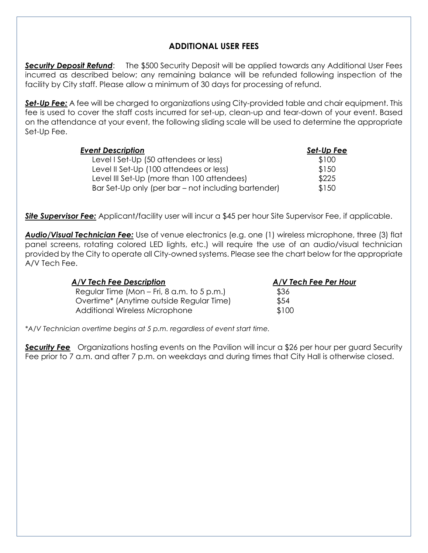#### **ADDITIONAL USER FEES**

**Security Deposit Refund:** The \$500 Security Deposit will be applied towards any Additional User Fees incurred as described below; any remaining balance will be refunded following inspection of the facility by City staff. Please allow a minimum of 30 days for processing of refund.

**Set-Up Fee:** A fee will be charged to organizations using City-provided table and chair equipment. This fee is used to cover the staff costs incurred for set-up, clean-up and tear-down of your event. Based on the attendance at your event, the following sliding scale will be used to determine the appropriate Set-Up Fee.

| <b>Event Description</b>                            | Set-Up Fee |
|-----------------------------------------------------|------------|
| Level I Set-Up (50 attendees or less)               | \$100      |
| Level II Set-Up (100 attendees or less)             | \$150      |
| Level III Set-Up (more than 100 attendees)          | \$225      |
| Bar Set-Up only (per bar – not including bartender) | \$150      |

*Site Supervisor Fee:* Applicant/facility user will incur a \$45 per hour Site Supervisor Fee, if applicable.

*Audio/Visual Technician Fee:* Use of venue electronics (e.g. one (1) wireless microphone, three (3) flat panel screens, rotating colored LED lights, etc.) will require the use of an audio/visual technician provided by the City to operate all City-owned systems. Please see the chart below for the appropriate A/V Tech Fee.

| A/V Tech Fee Description                     | A/V Tech Fee Per Hour |  |
|----------------------------------------------|-----------------------|--|
| Regular Time (Mon $-$ Fri, 8 a.m. to 5 p.m.) | \$36                  |  |
| Overtime* (Anytime outside Regular Time)     | \$54                  |  |
| Additional Wireless Microphone               | \$100                 |  |

*\*A/V Technician overtime begins at 5 p.m. regardless of event start time.* 

*Security Fee* Organizations hosting events on the Pavilion will incur a \$26 per hour per guard Security Fee prior to 7 a.m. and after 7 p.m. on weekdays and during times that City Hall is otherwise closed.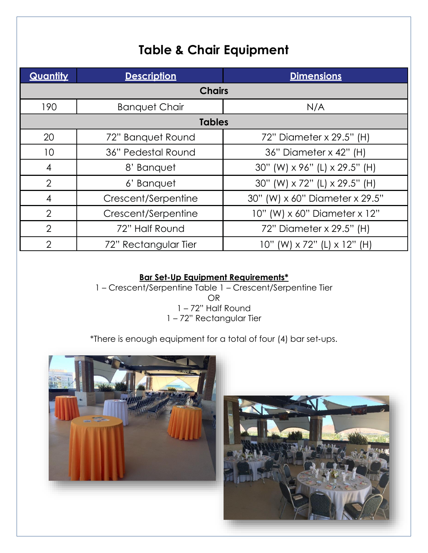# **Table & Chair Equipment**

| Quantity       | <b>Description</b>   | <b>Dimensions</b>                           |  |
|----------------|----------------------|---------------------------------------------|--|
| <b>Chairs</b>  |                      |                                             |  |
| 190            | <b>Banquet Chair</b> | N/A                                         |  |
| <b>Tables</b>  |                      |                                             |  |
| 20             | 72" Banquet Round    | 72" Diameter x 29.5" (H)                    |  |
| 10             | 36" Pedestal Round   | 36" Diameter x 42" (H)                      |  |
| $\overline{4}$ | 8' Banquet           | 30" (W) x 96" (L) x 29.5" (H)               |  |
| $\overline{2}$ | 6' Banquet           | 30" (W) x 72" (L) x 29.5" (H)               |  |
| $\overline{4}$ | Crescent/Serpentine  | 30" (W) x 60" Diameter x 29.5"              |  |
| $\overline{2}$ | Crescent/Serpentine  | 10" (W) x 60" Diameter x 12"                |  |
| $\overline{2}$ | 72" Half Round       | 72" Diameter x 29.5" (H)                    |  |
| $\overline{2}$ | 72" Rectangular Tier | $10"$ (W) $\times$ 72" (L) $\times$ 12" (H) |  |

#### **Bar Set-Up Equipment Requirements\***

– Crescent/Serpentine Table 1 – Crescent/Serpentine Tier OR – 72" Half Round – 72" Rectangular Tier

\*There is enough equipment for a total of four (4) bar set‐ups.

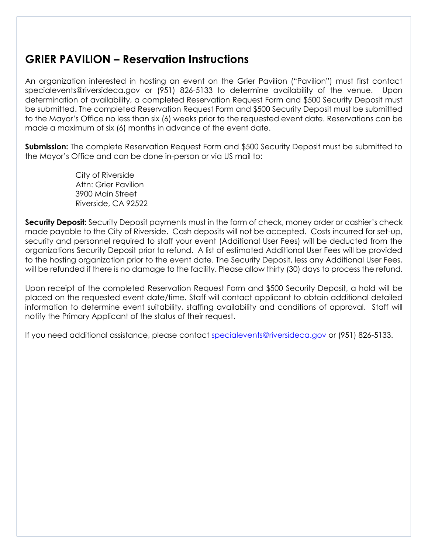# **GRIER PAVILION – Reservation Instructions**

An organization interested in hosting an event on the Grier Pavilion ("Pavilion") must first contact specialevents@riversideca.gov or (951) 826-5133 to determine availability of the venue. Upon determination of availability, a completed Reservation Request Form and \$500 Security Deposit must be submitted. The completed Reservation Request Form and \$500 Security Deposit must be submitted to the Mayor's Office no less than six (6) weeks prior to the requested event date. Reservations can be made a maximum of six (6) months in advance of the event date.

**Submission:** The complete Reservation Request Form and \$500 Security Deposit must be submitted to the Mayor's Office and can be done in-person or via US mail to:

> City of Riverside Attn: Grier Pavilion 3900 Main Street Riverside, CA 92522

**Security Deposit:** Security Deposit payments must in the form of check, money order or cashier's check made payable to the City of Riverside. Cash deposits will not be accepted. Costs incurred for set-up, security and personnel required to staff your event (Additional User Fees) will be deducted from the organizations Security Deposit prior to refund. A list of estimated Additional User Fees will be provided to the hosting organization prior to the event date. The Security Deposit, less any Additional User Fees, will be refunded if there is no damage to the facility. Please allow thirty (30) days to process the refund.

Upon receipt of the completed Reservation Request Form and \$500 Security Deposit, a hold will be placed on the requested event date/time. Staff will contact applicant to obtain additional detailed information to determine event suitability, staffing availability and conditions of approval. Staff will notify the Primary Applicant of the status of their request.

If you need additional assistance, please contact specialevents@riversideca.gov or (951) 826-5133.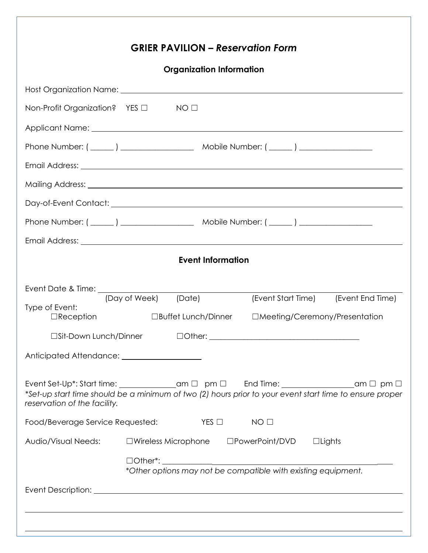|                                                             | <b>GRIER PAVILION – Reservation Form</b>               |                                                                                                                                                                                                      |  |  |  |
|-------------------------------------------------------------|--------------------------------------------------------|------------------------------------------------------------------------------------------------------------------------------------------------------------------------------------------------------|--|--|--|
|                                                             | <b>Organization Information</b>                        |                                                                                                                                                                                                      |  |  |  |
|                                                             |                                                        |                                                                                                                                                                                                      |  |  |  |
| Non-Profit Organization? YES □                              | NO <sub>1</sub>                                        |                                                                                                                                                                                                      |  |  |  |
|                                                             |                                                        |                                                                                                                                                                                                      |  |  |  |
|                                                             |                                                        |                                                                                                                                                                                                      |  |  |  |
|                                                             |                                                        |                                                                                                                                                                                                      |  |  |  |
|                                                             |                                                        |                                                                                                                                                                                                      |  |  |  |
|                                                             |                                                        |                                                                                                                                                                                                      |  |  |  |
|                                                             |                                                        |                                                                                                                                                                                                      |  |  |  |
|                                                             |                                                        |                                                                                                                                                                                                      |  |  |  |
|                                                             | <b>Event Information</b>                               |                                                                                                                                                                                                      |  |  |  |
|                                                             | (Date)<br>(Day of Week)                                | (Event Start Time) (Event End Time)                                                                                                                                                                  |  |  |  |
| Type of Event:                                              |                                                        | □Reception □Buffet Lunch/Dinner □Meeting/Ceremony/Presentation                                                                                                                                       |  |  |  |
|                                                             |                                                        |                                                                                                                                                                                                      |  |  |  |
| Anticipated Attendance: <u>[11]</u> Anticipated Attendance: |                                                        |                                                                                                                                                                                                      |  |  |  |
| reservation of the facility.                                |                                                        | Event Set-Up*: Start time: ________________am □ pm □ End Time: _________________am □ pm □<br>*Set-up start time should be a minimum of two (2) hours prior to your event start time to ensure proper |  |  |  |
| Food/Beverage Service Requested:                            | $YES$ $\square$                                        | NO <sub>1</sub>                                                                                                                                                                                      |  |  |  |
| Audio/Visual Needs:                                         | $\square$ Wireless Microphone $\square$ PowerPoint/DVD | $\Box$ Lights                                                                                                                                                                                        |  |  |  |
|                                                             |                                                        |                                                                                                                                                                                                      |  |  |  |
|                                                             |                                                        | *Other options may not be compatible with existing equipment.                                                                                                                                        |  |  |  |
|                                                             |                                                        |                                                                                                                                                                                                      |  |  |  |
|                                                             |                                                        |                                                                                                                                                                                                      |  |  |  |